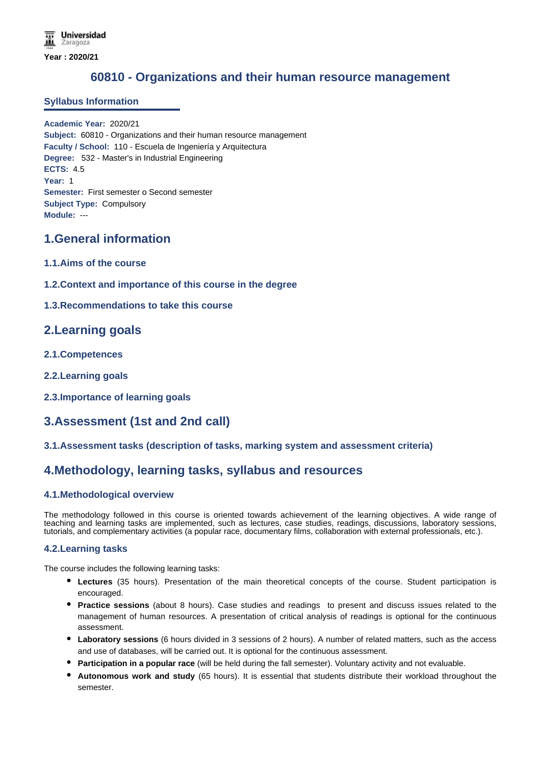# **60810 - Organizations and their human resource management**

## **Syllabus Information**

**Academic Year:** 2020/21 **Subject:** 60810 - Organizations and their human resource management **Faculty / School:** 110 - Escuela de Ingeniería y Arquitectura **Degree:** 532 - Master's in Industrial Engineering **ECTS:** 4.5 **Year:** 1 **Semester:** First semester o Second semester **Subject Type:** Compulsory **Module:** ---

## **1.General information**

- **1.1.Aims of the course**
- **1.2.Context and importance of this course in the degree**

## **1.3.Recommendations to take this course**

## **2.Learning goals**

- **2.1.Competences**
- **2.2.Learning goals**
- **2.3.Importance of learning goals**

# **3.Assessment (1st and 2nd call)**

## **3.1.Assessment tasks (description of tasks, marking system and assessment criteria)**

## **4.Methodology, learning tasks, syllabus and resources**

## **4.1.Methodological overview**

The methodology followed in this course is oriented towards achievement of the learning objectives. A wide range of teaching and learning tasks are implemented, such as lectures, case studies, readings, discussions, laboratory sessions, tutorials, and complementary activities (a popular race, documentary films, collaboration with external professionals, etc.).

## **4.2.Learning tasks**

The course includes the following learning tasks:

- **Lectures** (35 hours). Presentation of the main theoretical concepts of the course. Student participation is encouraged.
- **Practice sessions** (about 8 hours). Case studies and readings to present and discuss issues related to the management of human resources. A presentation of critical analysis of readings is optional for the continuous assessment.
- **Laboratory sessions** (6 hours divided in 3 sessions of 2 hours). A number of related matters, such as the access and use of databases, will be carried out. It is optional for the continuous assessment.
- **Participation in a popular race** (will be held during the fall semester). Voluntary activity and not evaluable.
- **Autonomous work and study** (65 hours). It is essential that students distribute their workload throughout the semester.